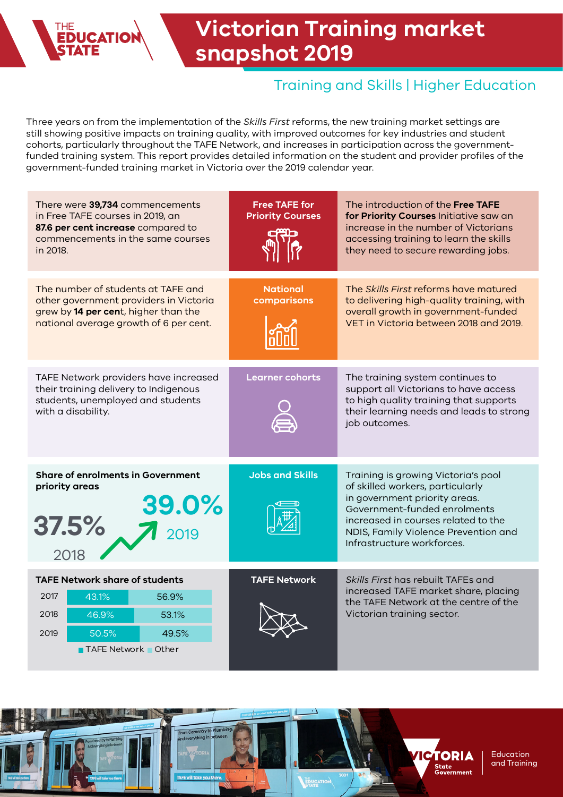

# **Victorian Training market snapshot 2019**

### Training and Skills | Higher Education

Three years on from the implementation of the *Skills First* reforms, the new training market settings are still showing positive impacts on training quality, with improved outcomes for key industries and student cohorts, particularly throughout the TAFE Network, and increases in participation across the governmentfunded training system. This report provides detailed information on the student and provider profiles of the government-funded training market in Victoria over the 2019 calendar year.

| There were 39,734 commencements<br>in Free TAFE courses in 2019, an<br>87.6 per cent increase compared to<br>commencements in the same courses<br>in 2018.     | <b>Free TAFE for</b><br><b>Priority Courses</b> | The introduction of the Free TAFE<br>for Priority Courses Initiative saw an<br>increase in the number of Victorians<br>accessing training to learn the skills<br>they need to secure rewarding jobs.                                                  |
|----------------------------------------------------------------------------------------------------------------------------------------------------------------|-------------------------------------------------|-------------------------------------------------------------------------------------------------------------------------------------------------------------------------------------------------------------------------------------------------------|
| The number of students at TAFE and<br>other government providers in Victoria<br>grew by 14 per cent, higher than the<br>national average growth of 6 per cent. | <b>National</b><br>comparisons                  | The Skills First reforms have matured<br>to delivering high-quality training, with<br>overall growth in government-funded<br>VET in Victoria between 2018 and 2019.                                                                                   |
| TAFE Network providers have increased<br>their training delivery to Indigenous<br>students, unemployed and students<br>with a disability.                      | <b>Learner cohorts</b>                          | The training system continues to<br>support all Victorians to have access<br>to high quality training that supports<br>their learning needs and leads to strong<br>job outcomes.                                                                      |
| <b>Share of enrolments in Government</b><br>priority areas<br>39.0%<br>37.5%<br>2018                                                                           | <b>Jobs and Skills</b>                          | Training is growing Victoria's pool<br>of skilled workers, particularly<br>in government priority areas.<br>Government-funded enrolments<br>increased in courses related to the<br>NDIS, Family Violence Prevention and<br>Infrastructure workforces. |
| <b>TAFE Network share of students</b><br>2017<br>43.1%<br>56.9%<br>2018<br>46.9%<br>53.1%<br>2019<br>50.5%<br>49.5%<br><b>TAFE Network</b> Other               | <b>TAFE Network</b>                             | Skills First has rebuilt TAFEs and<br>increased TAFE market share, placing<br>the TAFE Network at the centre of the<br>Victorian training sector.                                                                                                     |

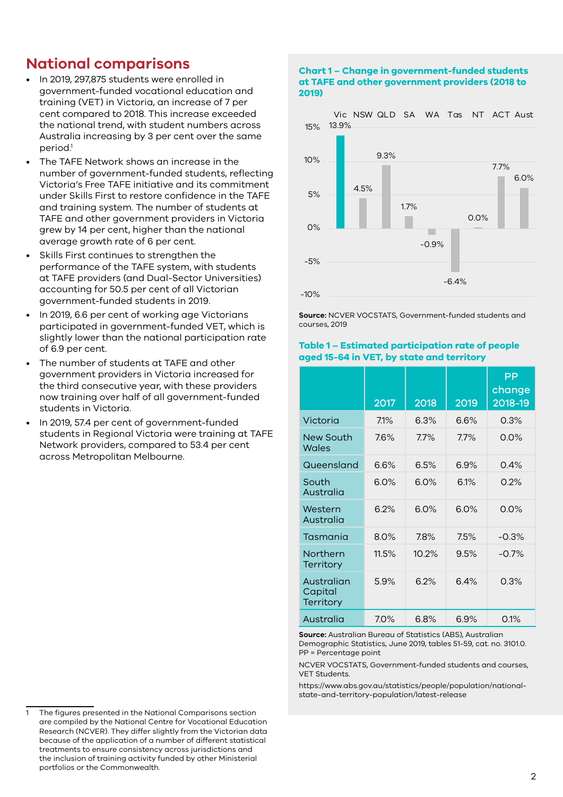### **National comparisons**

- In 2019, 297,875 students were enrolled in government-funded vocational education and training (VET) in Victoria, an increase of 7 per cent compared to 2018. This increase exceeded the national trend, with student numbers across Australia increasing by 3 per cent over the same period.<sup>1</sup>
- The TAFE Network shows an increase in the number of government-funded students, reflecting Victoria's Free TAFE initiative and its commitment under Skills First to restore confidence in the TAFE and training system. The number of students at TAFE and other government providers in Victoria grew by 14 per cent, higher than the national average growth rate of 6 per cent.
- Skills First continues to strengthen the performance of the TAFE system, with students at TAFE providers (and Dual-Sector Universities) accounting for 50.5 per cent of all Victorian government-funded students in 2019.
- In 2019, 6.6 per cent of working age Victorians participated in government-funded VET, which is slightly lower than the national participation rate of 6.9 per cent.
- The number of students at TAFE and other government providers in Victoria increased for the third consecutive year, with these providers now training over half of all government-funded students in Victoria.
- In 2019, 57.4 per cent of government-funded students in Regional Victoria were training at TAFE Network providers, compared to 53.4 per cent across Metropolitan Melbourne.

**at TAFE and other government providers (2018 to 2019)** Vic NSW QLD SA WA Tas NT ACT Aust



**Chart 1 – Change in government-funded students** 

**Source:** NCVER VOCSTATS, Government-funded students and courses, 2019

#### **Table 1 – Estimated participation rate of people aged 15-64 in VET, by state and territory**

|                                           | 2017  | 2018    | 2019 | PP<br>change<br>2018-19 |
|-------------------------------------------|-------|---------|------|-------------------------|
| Victoria                                  | 7.1%  | 6.3%    | 6.6% | 0.3%                    |
| <b>New South</b><br>Wales                 | 7.6%  | $7.7\%$ | 7.7% | $0.0\%$                 |
| Queensland                                | 6.6%  | 6.5%    | 6.9% | 0.4%                    |
| South<br>Australia                        | 6.0%  | 6.0%    | 6.1% | 0.2%                    |
| Western<br>Australia                      | 6.2%  | 6.0%    | 6.0% | 0.0%                    |
| Tasmania                                  | 8.0%  | 7.8%    | 7.5% | $-0.3%$                 |
| Northern<br><b>Territory</b>              | 11.5% | 10.2%   | 9.5% | $-0.7\%$                |
| Australian<br>Capital<br><b>Territory</b> | 5.9%  | 6.2%    | 6.4% | 0.3%                    |
| Australia                                 | 7.0%  | 6.8%    | 6.9% | 0.1%                    |

**Source:** Australian Bureau of Statistics (ABS), Australian Demographic Statistics, June 2019, tables 51-59, cat. no. 3101.0. PP = Percentage point

NCVER VOCSTATS, Government-funded students and courses, VET Students.

https://www.abs.gov.au/statistics/people/population/nationalstate-and-territory-population/latest-release

<sup>1</sup> The figures presented in the National Comparisons section are compiled by the National Centre for Vocational Education Research (NCVER). They differ slightly from the Victorian data because of the application of a number of different statistical treatments to ensure consistency across jurisdictions and the inclusion of training activity funded by other Ministerial portfolios or the Commonwealth.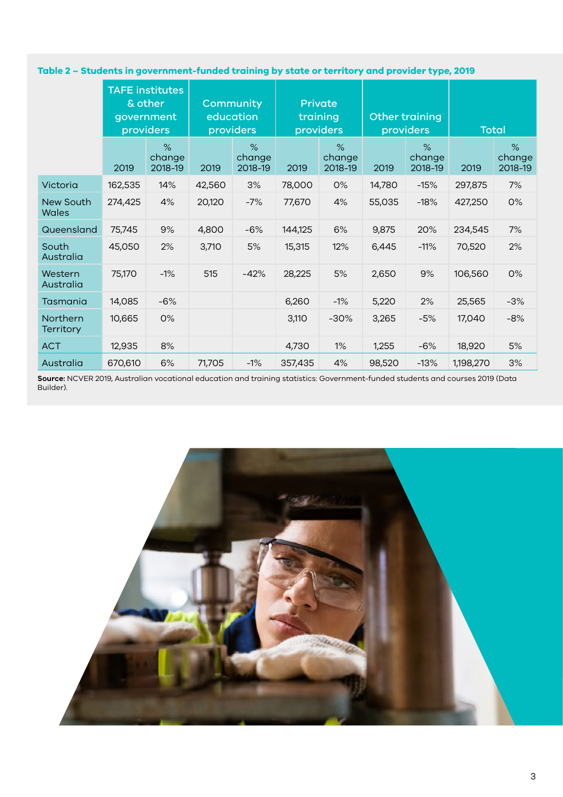### **Table 2 – Students in government-funded training by state or territory and provider type, 2019**

|                              |         | <b>TAFE institutes</b><br>& other<br>government<br>providers |        | Community<br>education<br>providers | <b>Private</b><br>training<br>providers |                           | Other training<br>providers |                           | <b>Total</b> |                           |
|------------------------------|---------|--------------------------------------------------------------|--------|-------------------------------------|-----------------------------------------|---------------------------|-----------------------------|---------------------------|--------------|---------------------------|
|                              | 2019    | $\%$<br>change<br>2018-19                                    | 2019   | $\%$<br>change<br>2018-19           | 2019                                    | $\%$<br>change<br>2018-19 | 2019                        | $\%$<br>change<br>2018-19 | 2019         | $\%$<br>change<br>2018-19 |
| Victoria                     | 162,535 | 14%                                                          | 42,560 | 3%                                  | 78,000                                  | 0%                        | 14,780                      | $-15%$                    | 297,875      | 7%                        |
| New South<br>Wales           | 274,425 | 4%                                                           | 20,120 | $-7%$                               | 77,670                                  | 4%                        | 55,035                      | $-18%$                    | 427,250      | 0%                        |
| Queensland                   | 75,745  | 9%                                                           | 4,800  | $-6%$                               | 144,125                                 | 6%                        | 9,875                       | 20%                       | 234,545      | 7%                        |
| South<br>Australia           | 45,050  | 2%                                                           | 3,710  | 5%                                  | 15,315                                  | 12%                       | 6,445                       | $-11%$                    | 70,520       | 2%                        |
| Western<br>Australia         | 75,170  | $-1%$                                                        | 515    | $-42%$                              | 28,225                                  | 5%                        | 2,650                       | 9%                        | 106,560      | 0%                        |
| Tasmania                     | 14,085  | $-6%$                                                        |        |                                     | 6,260                                   | $-1%$                     | 5,220                       | 2%                        | 25,565       | $-3%$                     |
| Northern<br><b>Territory</b> | 10,665  | 0%                                                           |        |                                     | 3,110                                   | $-30%$                    | 3,265                       | $-5%$                     | 17,040       | $-8%$                     |
| <b>ACT</b>                   | 12,935  | 8%                                                           |        |                                     | 4,730                                   | 1%                        | 1,255                       | $-6%$                     | 18,920       | 5%                        |
| Australia                    | 670,610 | 6%                                                           | 71,705 | $-1\%$                              | 357,435                                 | 4%                        | 98,520                      | $-13%$                    | 1,198,270    | 3%                        |

**Source:** NCVER 2019, Australian vocational education and training statistics: Government-funded students and courses 2019 (Data Builder).

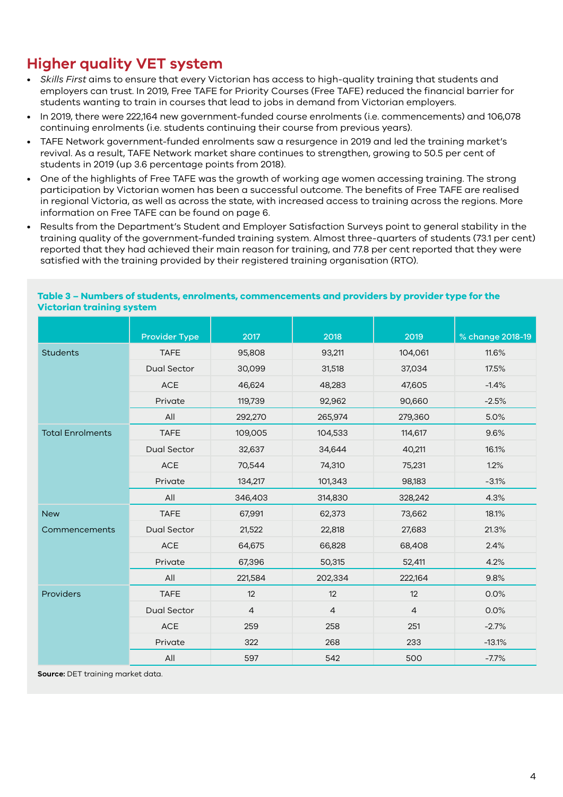# **Higher quality VET system**

- *Skills First* aims to ensure that every Victorian has access to high-quality training that students and employers can trust. In 2019, Free TAFE for Priority Courses (Free TAFE) reduced the financial barrier for students wanting to train in courses that lead to jobs in demand from Victorian employers.
- In 2019, there were 222,164 new government-funded course enrolments (i.e. commencements) and 106,078 continuing enrolments (i.e. students continuing their course from previous years).
- TAFE Network government-funded enrolments saw a resurgence in 2019 and led the training market's revival. As a result, TAFE Network market share continues to strengthen, growing to 50.5 per cent of students in 2019 (up 3.6 percentage points from 2018).
- One of the highlights of Free TAFE was the growth of working age women accessing training. The strong participation by Victorian women has been a successful outcome. The benefits of Free TAFE are realised in regional Victoria, as well as across the state, with increased access to training across the regions. More information on Free TAFE can be found on page 6.
- Results from the Department's Student and Employer Satisfaction Surveys point to general stability in the training quality of the government-funded training system. Almost three-quarters of students (73.1 per cent) reported that they had achieved their main reason for training, and 77.8 per cent reported that they were satisfied with the training provided by their registered training organisation (RTO).

|                         | <b>Provider Type</b> | 2017           | 2018           | 2019           | % change 2018-19 |
|-------------------------|----------------------|----------------|----------------|----------------|------------------|
| <b>Students</b>         | <b>TAFE</b>          | 95,808         | 93,211         | 104,061        | 11.6%            |
|                         | <b>Dual Sector</b>   | 30,099         | 31,518         | 37,034         | 17.5%            |
|                         | <b>ACE</b>           | 46,624         | 48,283         | 47,605         | $-1.4%$          |
|                         | Private              | 119,739        | 92,962         | 90,660         | $-2.5%$          |
|                         | All                  | 292,270        | 265,974        | 279,360        | 5.0%             |
| <b>Total Enrolments</b> | <b>TAFE</b>          | 109,005        | 104,533        | 114,617        | 9.6%             |
|                         | <b>Dual Sector</b>   | 32,637         | 34,644         | 40,211         | 16.1%            |
|                         | ACE                  | 70,544         | 74,310         | 75,231         | 1.2%             |
|                         | Private              | 134,217        | 101,343        | 98,183         | $-3.1%$          |
|                         | All                  | 346,403        | 314,830        | 328,242        | 4.3%             |
| <b>New</b>              | <b>TAFE</b>          | 67,991         | 62,373         | 73,662         | 18.1%            |
| Commencements           | Dual Sector          | 21,522         | 22,818         | 27,683         | 21.3%            |
|                         | ACE                  | 64,675         | 66,828         | 68,408         | 2.4%             |
|                         | Private              | 67,396         | 50,315         | 52,411         | 4.2%             |
|                         | All                  | 221,584        | 202,334        | 222,164        | 9.8%             |
| Providers               | <b>TAFE</b>          | 12             | 12             | 12             | 0.0%             |
|                         | Dual Sector          | $\overline{4}$ | $\overline{a}$ | $\overline{4}$ | 0.0%             |
|                         | ACE                  | 259            | 258            | 251            | $-2.7%$          |
|                         | Private              | 322            | 268            | 233            | $-13.1%$         |
|                         | All                  | 597            | 542            | 500            | $-7.7%$          |

### **Table 3 – Numbers of students, enrolments, commencements and providers by provider type for the Victorian training system**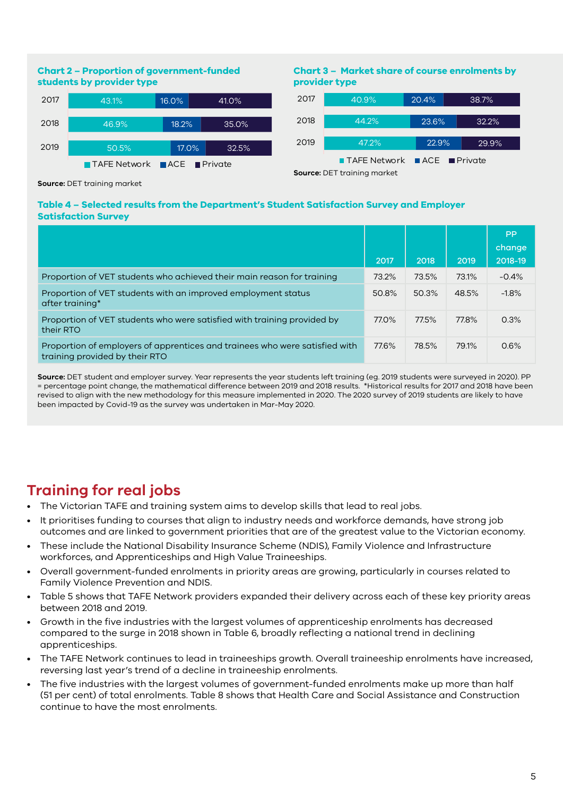### **Chart 2 – Proportion of government-funded students by provider type**



### **Chart 3 – Market share of course enrolments by provider type**



**Source:** DET training market

#### **Table 4 – Selected results from the Department's Student Satisfaction Survey and Employer Satisfaction Survey**

|                                                                                                               | 2017  | 2018  | 2019  | PP<br>change<br>2018-19 |
|---------------------------------------------------------------------------------------------------------------|-------|-------|-------|-------------------------|
| Proportion of VET students who achieved their main reason for training                                        | 73.2% | 73.5% | 73.1% | $-0.4%$                 |
| Proportion of VET students with an improved employment status<br>after training*                              | 50.8% | 50.3% | 48.5% | $-1.8%$                 |
| Proportion of VET students who were satisfied with training provided by<br>their RTO                          | 77.0% | 77.5% | 77.8% | 0.3%                    |
| Proportion of employers of apprentices and trainees who were satisfied with<br>training provided by their RTO | 77.6% | 78.5% | 79.1% | 0.6%                    |

**Source:** DET student and employer survey. Year represents the year students left training (eg. 2019 students were surveyed in 2020). PP = percentage point change, the mathematical difference between 2019 and 2018 results. \*Historical results for 2017 and 2018 have been revised to align with the new methodology for this measure implemented in 2020. The 2020 survey of 2019 students are likely to have been impacted by Covid-19 as the survey was undertaken in Mar-May 2020.

# **Training for real jobs**

- The Victorian TAFE and training system aims to develop skills that lead to real jobs.
- It prioritises funding to courses that align to industry needs and workforce demands, have strong job outcomes and are linked to government priorities that are of the greatest value to the Victorian economy.
- These include the National Disability Insurance Scheme (NDIS), Family Violence and Infrastructure workforces, and Apprenticeships and High Value Traineeships.
- Overall government-funded enrolments in priority areas are growing, particularly in courses related to Family Violence Prevention and NDIS.
- Table 5 shows that TAFE Network providers expanded their delivery across each of these key priority areas between 2018 and 2019.
- Growth in the five industries with the largest volumes of apprenticeship enrolments has decreased compared to the surge in 2018 shown in Table 6, broadly reflecting a national trend in declining apprenticeships.
- The TAFE Network continues to lead in traineeships growth. Overall traineeship enrolments have increased, reversing last year's trend of a decline in traineeship enrolments.
- The five industries with the largest volumes of government-funded enrolments make up more than half (51 per cent) of total enrolments. Table 8 shows that Health Care and Social Assistance and Construction continue to have the most enrolments.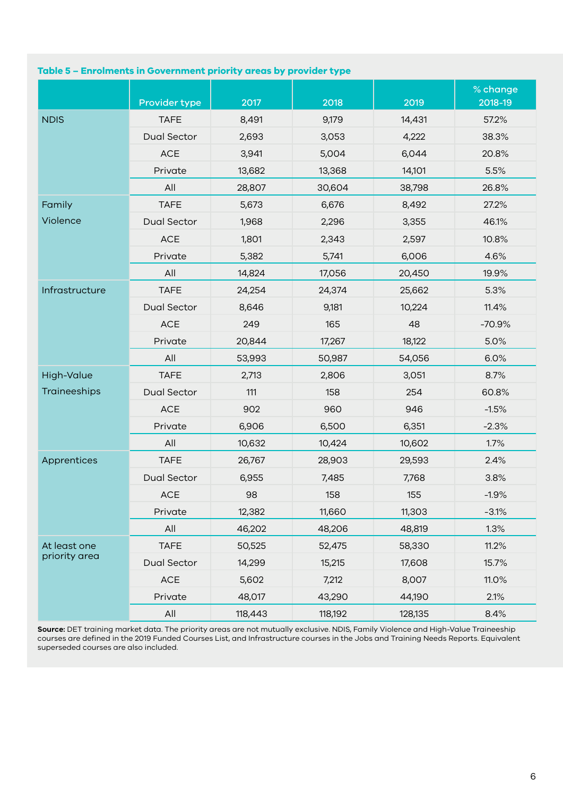### **Table 5 – Enrolments in Government priority areas by provider type**

|                |                    |         |         |         | % change |
|----------------|--------------------|---------|---------|---------|----------|
|                | Provider type      | 2017    | 2018    | 2019    | 2018-19  |
| <b>NDIS</b>    | <b>TAFE</b>        | 8,491   | 9,179   | 14,431  | 57.2%    |
|                | Dual Sector        | 2,693   | 3,053   | 4,222   | 38.3%    |
|                | ACE                | 3,941   | 5,004   | 6,044   | 20.8%    |
|                | Private            | 13,682  | 13,368  | 14,101  | 5.5%     |
|                | All                | 28,807  | 30,604  | 38,798  | 26.8%    |
| Family         | <b>TAFE</b>        | 5,673   | 6,676   | 8,492   | 27.2%    |
| Violence       | <b>Dual Sector</b> | 1,968   | 2,296   | 3,355   | 46.1%    |
|                | ACE                | 1,801   | 2,343   | 2,597   | 10.8%    |
|                | Private            | 5,382   | 5,741   | 6,006   | 4.6%     |
|                | All                | 14,824  | 17,056  | 20,450  | 19.9%    |
| Infrastructure | <b>TAFE</b>        | 24,254  | 24,374  | 25,662  | 5.3%     |
|                | Dual Sector        | 8,646   | 9,181   | 10,224  | 11.4%    |
|                | $\mathsf{ACE}$     | 249     | 165     | 48      | $-70.9%$ |
|                | Private            | 20,844  | 17,267  | 18,122  | 5.0%     |
|                | All                | 53,993  | 50,987  | 54,056  | 6.0%     |
| High-Value     | <b>TAFE</b>        | 2,713   | 2,806   | 3,051   | 8.7%     |
| Traineeships   | <b>Dual Sector</b> | 111     | 158     | 254     | 60.8%    |
|                | ACE                | 902     | 960     | 946     | $-1.5%$  |
|                | Private            | 6,906   | 6,500   | 6,351   | $-2.3%$  |
|                | All                | 10,632  | 10,424  | 10,602  | 1.7%     |
| Apprentices    | <b>TAFE</b>        | 26,767  | 28,903  | 29,593  | 2.4%     |
|                | <b>Dual Sector</b> | 6,955   | 7,485   | 7,768   | 3.8%     |
|                | <b>ACE</b>         | 98      | 158     | 155     | $-1.9%$  |
|                | Private            | 12,382  | 11,660  | 11,303  | $-3.1%$  |
|                | All                | 46,202  | 48,206  | 48,819  | 1.3%     |
| At least one   | <b>TAFE</b>        | 50,525  | 52,475  | 58,330  | 11.2%    |
| priority area  | <b>Dual Sector</b> | 14,299  | 15,215  | 17,608  | 15.7%    |
|                | $\mathsf{ACE}$     | 5,602   | 7,212   | 8,007   | 11.0%    |
|                | Private            | 48,017  | 43,290  | 44,190  | 2.1%     |
|                | $\mathsf{All}$     | 118,443 | 118,192 | 128,135 | 8.4%     |

**Source:** DET training market data. The priority areas are not mutually exclusive. NDIS, Family Violence and High-Value Traineeship courses are defined in the 2019 Funded Courses List, and Infrastructure courses in the Jobs and Training Needs Reports. Equivalent superseded courses are also included.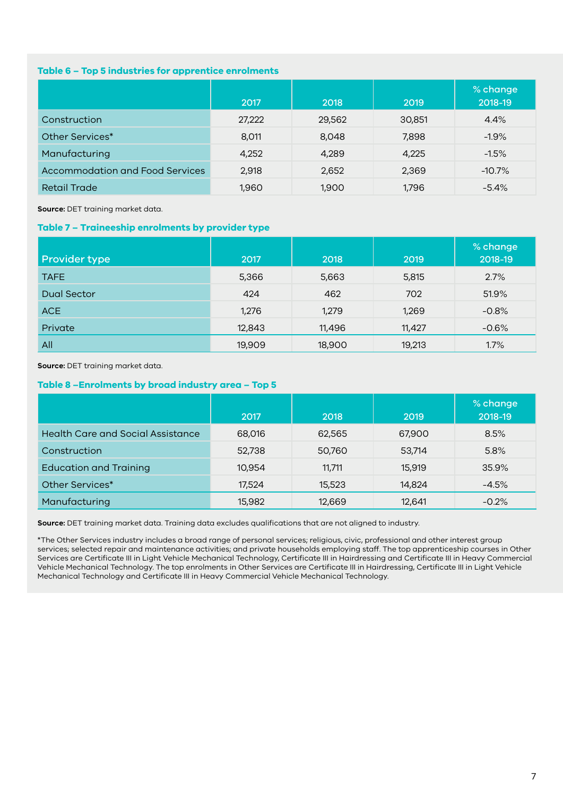#### **Table 6 – Top 5 industries for apprentice enrolments**

|                                        | 2017   | 2018   | 2019   | % change<br>2018-19 |
|----------------------------------------|--------|--------|--------|---------------------|
| Construction                           | 27,222 | 29,562 | 30,851 | 4.4%                |
| Other Services*                        | 8,011  | 8,048  | 7,898  | $-1.9%$             |
| Manufacturing                          | 4,252  | 4,289  | 4,225  | $-1.5%$             |
| <b>Accommodation and Food Services</b> | 2,918  | 2,652  | 2,369  | $-10.7%$            |
| <b>Retail Trade</b>                    | 1,960  | 1,900  | 1,796  | $-5.4%$             |

**Source:** DET training market data.

#### **Table 7 – Traineeship enrolments by provider type**

| <b>Provider type</b> | 2017   | 2018   | 2019   | % change<br>2018-19 |
|----------------------|--------|--------|--------|---------------------|
| <b>TAFE</b>          | 5,366  | 5,663  | 5,815  | 2.7%                |
| Dual Sector          | 424    | 462    | 702    | 51.9%               |
| ACE                  | 1,276  | 1,279  | 1,269  | $-0.8%$             |
| Private              | 12,843 | 11,496 | 11,427 | $-0.6%$             |
| All                  | 19,909 | 18,900 | 19,213 | 1.7%                |

**Source:** DET training market data.

#### **Table 8 –Enrolments by broad industry area – Top 5**

|                                          | 2017   | 2018   | 2019   | % change<br>2018-19 |
|------------------------------------------|--------|--------|--------|---------------------|
| <b>Health Care and Social Assistance</b> | 68,016 | 62,565 | 67,900 | 8.5%                |
| Construction                             | 52,738 | 50,760 | 53,714 | 5.8%                |
| <b>Education and Training</b>            | 10,954 | 11,711 | 15,919 | 35.9%               |
| Other Services*                          | 17,524 | 15,523 | 14,824 | $-4.5%$             |
| Manufacturing                            | 15,982 | 12,669 | 12,641 | $-0.2%$             |

**Source:** DET training market data. Training data excludes qualifications that are not aligned to industry.

\*The Other Services industry includes a broad range of personal services; religious, civic, professional and other interest group services; selected repair and maintenance activities; and private households employing staff. The top apprenticeship courses in Other Services are Certificate III in Light Vehicle Mechanical Technology, Certificate III in Hairdressing and Certificate III in Heavy Commercial Vehicle Mechanical Technology. The top enrolments in Other Services are Certificate III in Hairdressing, Certificate III in Light Vehicle Mechanical Technology and Certificate III in Heavy Commercial Vehicle Mechanical Technology.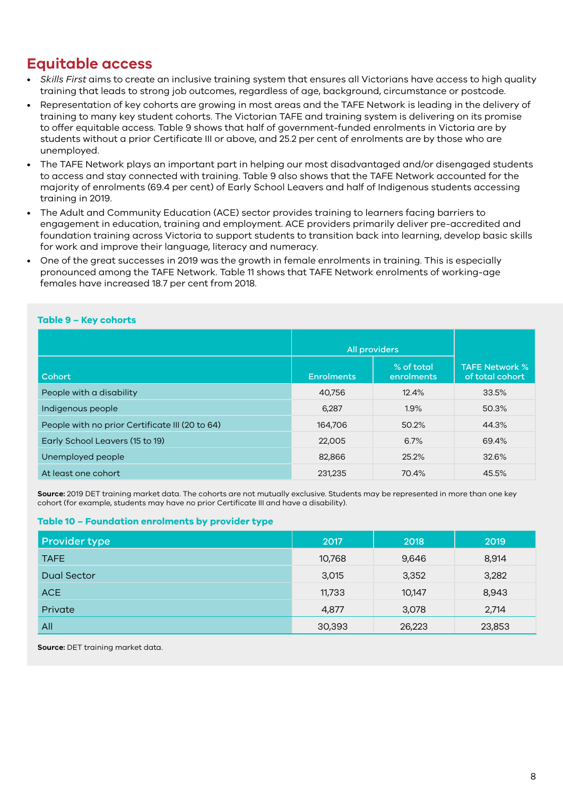### **Equitable access**

- *Skills First* aims to create an inclusive training system that ensures all Victorians have access to high quality training that leads to strong job outcomes, regardless of age, background, circumstance or postcode.
- Representation of key cohorts are growing in most areas and the TAFE Network is leading in the delivery of training to many key student cohorts. The Victorian TAFE and training system is delivering on its promise to offer equitable access. Table 9 shows that half of government-funded enrolments in Victoria are by students without a prior Certificate III or above, and 25.2 per cent of enrolments are by those who are unemployed.
- The TAFE Network plays an important part in helping our most disadvantaged and/or disengaged students to access and stay connected with training. Table 9 also shows that the TAFE Network accounted for the majority of enrolments (69.4 per cent) of Early School Leavers and half of Indigenous students accessing training in 2019.
- The Adult and Community Education (ACE) sector provides training to learners facing barriers to engagement in education, training and employment. ACE providers primarily deliver pre-accredited and foundation training across Victoria to support students to transition back into learning, develop basic skills for work and improve their language, literacy and numeracy.
- One of the great successes in 2019 was the growth in female enrolments in training. This is especially pronounced among the TAFE Network. Table 11 shows that TAFE Network enrolments of working-age females have increased 18.7 per cent from 2018.

### **Table 9 – Key cohorts**

|                                                 | All providers     |                          |                                          |
|-------------------------------------------------|-------------------|--------------------------|------------------------------------------|
| Cohort                                          | <b>Enrolments</b> | % of total<br>enrolments | <b>TAFE Network %</b><br>of total cohort |
| People with a disability                        | 40,756            | 12.4%                    | 33.5%                                    |
| Indigenous people                               | 6,287             | 1.9%                     | 50.3%                                    |
| People with no prior Certificate III (20 to 64) | 164,706           | 50.2%                    | 44.3%                                    |
| Early School Leavers (15 to 19)                 | 22,005            | 6.7%                     | 69.4%                                    |
| Unemployed people                               | 82,866            | 25.2%                    | 32.6%                                    |
| At least one cohort                             | 231,235           | 70.4%                    | 45.5%                                    |

**Source:** 2019 DET training market data. The cohorts are not mutually exclusive. Students may be represented in more than one key cohort (for example, students may have no prior Certificate III and have a disability).

#### **Table 10 – Foundation enrolments by provider type**

| <b>Provider type</b> | 2017   | 2018   | 2019   |
|----------------------|--------|--------|--------|
| <b>TAFE</b>          | 10,768 | 9,646  | 8,914  |
| Dual Sector          | 3,015  | 3,352  | 3,282  |
| ACE                  | 11,733 | 10,147 | 8,943  |
| Private              | 4,877  | 3,078  | 2,714  |
| All                  | 30,393 | 26,223 | 23,853 |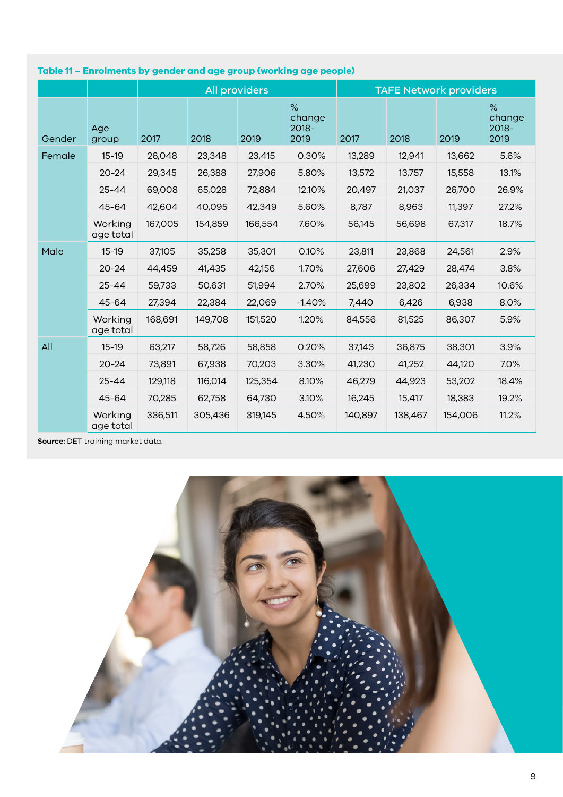|        |                      | <b>All providers</b> |         |         | <b>TAFE Network providers</b>      |         |         |         |                              |
|--------|----------------------|----------------------|---------|---------|------------------------------------|---------|---------|---------|------------------------------|
| Gender | Age<br>group         | 2017                 | 2018    | 2019    | $\%$<br>change<br>$2018 -$<br>2019 | 2017    | 2018    | 2019    | %<br>change<br>2018-<br>2019 |
| Female | $15-19$              | 26,048               | 23,348  | 23,415  | 0.30%                              | 13,289  | 12,941  | 13,662  | 5.6%                         |
|        | $20 - 24$            | 29,345               | 26,388  | 27,906  | 5.80%                              | 13,572  | 13,757  | 15,558  | 13.1%                        |
|        | $25 - 44$            | 69,008               | 65,028  | 72,884  | 12.10%                             | 20,497  | 21,037  | 26,700  | 26.9%                        |
|        | 45-64                | 42,604               | 40,095  | 42,349  | 5.60%                              | 8,787   | 8,963   | 11,397  | 27.2%                        |
|        | Working<br>age total | 167,005              | 154,859 | 166,554 | 7.60%                              | 56,145  | 56,698  | 67,317  | 18.7%                        |
| Male   | $15 - 19$            | 37,105               | 35,258  | 35,301  | 0.10%                              | 23,811  | 23,868  | 24,561  | 2.9%                         |
|        | $20 - 24$            | 44,459               | 41,435  | 42,156  | 1.70%                              | 27,606  | 27,429  | 28,474  | 3.8%                         |
|        | $25 - 44$            | 59,733               | 50,631  | 51,994  | 2.70%                              | 25,699  | 23,802  | 26,334  | 10.6%                        |
|        | 45-64                | 27,394               | 22,384  | 22,069  | $-1.40%$                           | 7,440   | 6,426   | 6,938   | 8.0%                         |
|        | Working<br>age total | 168,691              | 149,708 | 151,520 | 1.20%                              | 84,556  | 81,525  | 86,307  | 5.9%                         |
| All    | $15-19$              | 63,217               | 58,726  | 58,858  | 0.20%                              | 37,143  | 36,875  | 38,301  | 3.9%                         |
|        | $20 - 24$            | 73,891               | 67,938  | 70,203  | 3.30%                              | 41,230  | 41,252  | 44,120  | 7.0%                         |
|        | $25 - 44$            | 129,118              | 116,014 | 125,354 | 8.10%                              | 46,279  | 44,923  | 53,202  | 18.4%                        |
|        | $45 - 64$            | 70,285               | 62,758  | 64,730  | 3.10%                              | 16,245  | 15,417  | 18,383  | 19.2%                        |
|        | Working<br>age total | 336,511              | 305,436 | 319,145 | 4.50%                              | 140,897 | 138,467 | 154,006 | 11.2%                        |

**Table 11 – Enrolments by gender and age group (working age people)**

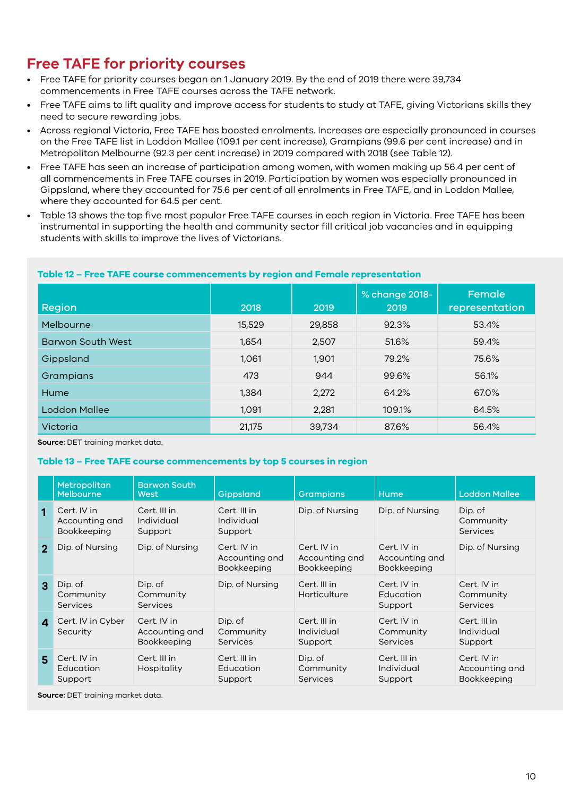# **Free TAFE for priority courses**

- Free TAFE for priority courses began on 1 January 2019. By the end of 2019 there were 39,734 commencements in Free TAFE courses across the TAFE network.
- Free TAFE aims to lift quality and improve access for students to study at TAFE, giving Victorians skills they need to secure rewarding jobs.
- Across regional Victoria, Free TAFE has boosted enrolments. Increases are especially pronounced in courses on the Free TAFE list in Loddon Mallee (109.1 per cent increase), Grampians (99.6 per cent increase) and in Metropolitan Melbourne (92.3 per cent increase) in 2019 compared with 2018 (see Table 12).
- Free TAFE has seen an increase of participation among women, with women making up 56.4 per cent of all commencements in Free TAFE courses in 2019. Participation by women was especially pronounced in Gippsland, where they accounted for 75.6 per cent of all enrolments in Free TAFE, and in Loddon Mallee, where they accounted for 64.5 per cent.
- Table 13 shows the top five most popular Free TAFE courses in each region in Victoria. Free TAFE has been instrumental in supporting the health and community sector fill critical job vacancies and in equipping students with skills to improve the lives of Victorians.

# **Table 12 – Free TAFE course commencements by region and Female representation**

| <b>Region</b>            | 2018   | 2019   | % change 2018-<br>2019 | Female<br>representation |
|--------------------------|--------|--------|------------------------|--------------------------|
| Melbourne                | 15,529 | 29,858 | 92.3%                  | 53.4%                    |
| <b>Barwon South West</b> | 1,654  | 2,507  | 51.6%                  | 59.4%                    |
| Gippsland                | 1,061  | 1,901  | 79.2%                  | 75.6%                    |
| Grampians                | 473    | 944    | 99.6%                  | 56.1%                    |
| Hume                     | 1,384  | 2,272  | 64.2%                  | 67.0%                    |
| Loddon Mallee            | 1,091  | 2,281  | 109.1%                 | 64.5%                    |
| Victoria                 | 21,175 | 39,734 | 87.6%                  | 56.4%                    |

**Source:** DET training market data.

#### **Table 13 – Free TAFE course commencements by top 5 courses in region**

|              | <b>Metropolitan</b><br>Melbourne             | <b>Barwon South</b><br>West                  | Gippsland                                    | <b>Grampians</b>                             | <b>Hume</b>                                  | <b>Loddon Mallee</b>                         |
|--------------|----------------------------------------------|----------------------------------------------|----------------------------------------------|----------------------------------------------|----------------------------------------------|----------------------------------------------|
| 1            | Cert. IV in<br>Accounting and<br>Bookkeeping | Cert. III in<br>Individual<br>Support        | Cert. III in<br>Individual<br>Support        | Dip. of Nursing                              | Dip. of Nursing                              | Dip. of<br>Community<br>Services             |
| $\mathbf{p}$ | Dip. of Nursing                              | Dip. of Nursing                              | Cert. IV in<br>Accounting and<br>Bookkeeping | Cert. IV in<br>Accounting and<br>Bookkeeping | Cert. IV in<br>Accounting and<br>Bookkeeping | Dip. of Nursing                              |
| 3            | Dip. of<br>Community<br>Services             | Dip. of<br>Community<br><b>Services</b>      | Dip. of Nursing                              | Cert. III in<br>Horticulture                 | Cert. IV in<br>Education<br>Support          | Cert. IV in<br>Community<br>Services         |
| $\mathbf{A}$ | Cert. IV in Cyber<br>Security                | Cert. IV in<br>Accounting and<br>Bookkeeping | Dip. of<br>Community<br><b>Services</b>      | Cert. III in<br>Individual<br>Support        | Cert. IV in<br>Community<br>Services         | Cert. III in<br>Individual<br>Support        |
| 5            | Cert. IV in<br>Education<br>Support          | Cert. III in<br>Hospitality                  | Cert. III in<br>Education<br>Support         | Dip. of<br>Community<br>Services             | Cert. III in<br>Individual<br>Support        | Cert. IV in<br>Accounting and<br>Bookkeeping |